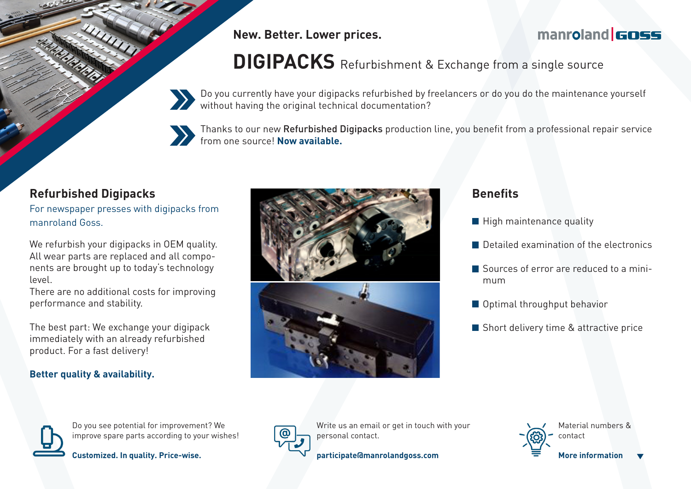**New. Better. Lower prices.**

## manroland **GOSS**

# **DIGIPACKS** Refurbishment & Exchange from a single source

Do you currently have your digipacks refurbished by freelancers or do you do the maintenance yourself without having the original technical documentation?



Thanks to our new Refurbished Digipacks production line, you benefit from a professional repair service from one source! **Now available.**

### **Refurbished Digipacks**

For newspaper presses with digipacks from manroland Goss.

We refurbish your digipacks in OEM quality. All wear parts are replaced and all components are brought up to today's technology level.

There are no additional costs for improving performance and stability.

The best part: We exchange your digipack immediately with an already refurbished product. For a fast delivery!

#### **Better quality & availability.**



#### **Benefits**

- $\blacksquare$  High maintenance quality
- Detailed examination of the electronics
- Sources of error are reduced to a minimum
- **Optimal throughput behavior**
- Short delivery time & attractive price



Do you see potential for improvement? We improve spare parts according to your wishes!





Write us an email or get in touch with your personal contact.



Material numbers & contact **More information**